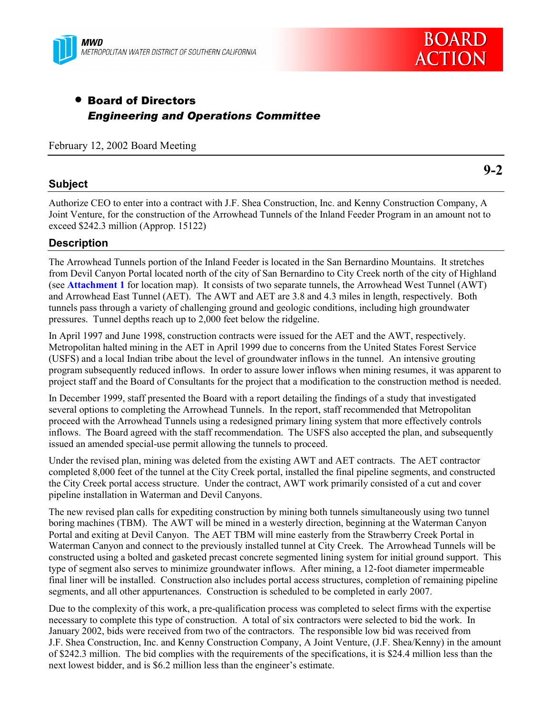



# • Board of Directors *Engineering and Operations Committee*

February 12, 2002 Board Meeting

#### **Subject**

**9-2**

Authorize CEO to enter into a contract with J.F. Shea Construction, Inc. and Kenny Construction Company, A Joint Venture, for the construction of the Arrowhead Tunnels of the Inland Feeder Program in an amount not to exceed \$242.3 million (Approp. 15122)

## **Description**

The Arrowhead Tunnels portion of the Inland Feeder is located in the San Bernardino Mountains. It stretches from Devil Canyon Portal located north of the city of San Bernardino to City Creek north of the city of Highland (see **Attachment 1** for location map). It consists of two separate tunnels, the Arrowhead West Tunnel (AWT) and Arrowhead East Tunnel (AET). The AWT and AET are 3.8 and 4.3 miles in length, respectively. Both tunnels pass through a variety of challenging ground and geologic conditions, including high groundwater pressures. Tunnel depths reach up to 2,000 feet below the ridgeline.

In April 1997 and June 1998, construction contracts were issued for the AET and the AWT, respectively. Metropolitan halted mining in the AET in April 1999 due to concerns from the United States Forest Service (USFS) and a local Indian tribe about the level of groundwater inflows in the tunnel. An intensive grouting program subsequently reduced inflows. In order to assure lower inflows when mining resumes, it was apparent to project staff and the Board of Consultants for the project that a modification to the construction method is needed.

In December 1999, staff presented the Board with a report detailing the findings of a study that investigated several options to completing the Arrowhead Tunnels. In the report, staff recommended that Metropolitan proceed with the Arrowhead Tunnels using a redesigned primary lining system that more effectively controls inflows. The Board agreed with the staff recommendation. The USFS also accepted the plan, and subsequently issued an amended special-use permit allowing the tunnels to proceed.

Under the revised plan, mining was deleted from the existing AWT and AET contracts. The AET contractor completed 8,000 feet of the tunnel at the City Creek portal, installed the final pipeline segments, and constructed the City Creek portal access structure. Under the contract, AWT work primarily consisted of a cut and cover pipeline installation in Waterman and Devil Canyons.

The new revised plan calls for expediting construction by mining both tunnels simultaneously using two tunnel boring machines (TBM). The AWT will be mined in a westerly direction, beginning at the Waterman Canyon Portal and exiting at Devil Canyon. The AET TBM will mine easterly from the Strawberry Creek Portal in Waterman Canyon and connect to the previously installed tunnel at City Creek. The Arrowhead Tunnels will be constructed using a bolted and gasketed precast concrete segmented lining system for initial ground support. This type of segment also serves to minimize groundwater inflows. After mining, a 12-foot diameter impermeable final liner will be installed. Construction also includes portal access structures, completion of remaining pipeline segments, and all other appurtenances. Construction is scheduled to be completed in early 2007.

Due to the complexity of this work, a pre-qualification process was completed to select firms with the expertise necessary to complete this type of construction. A total of six contractors were selected to bid the work. In January 2002, bids were received from two of the contractors. The responsible low bid was received from J.F. Shea Construction, Inc. and Kenny Construction Company, A Joint Venture, (J.F. Shea/Kenny) in the amount of \$242.3 million. The bid complies with the requirements of the specifications, it is \$24.4 million less than the next lowest bidder, and is \$6.2 million less than the engineer's estimate.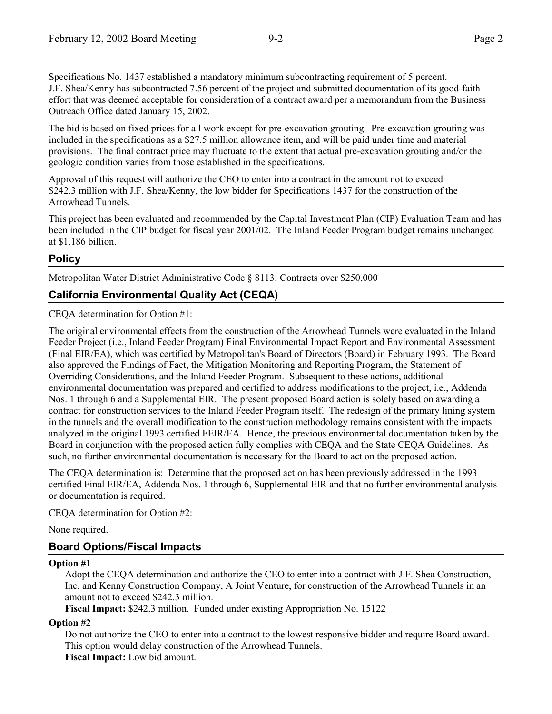Specifications No. 1437 established a mandatory minimum subcontracting requirement of 5 percent. J.F. Shea/Kenny has subcontracted 7.56 percent of the project and submitted documentation of its good-faith effort that was deemed acceptable for consideration of a contract award per a memorandum from the Business Outreach Office dated January 15, 2002.

The bid is based on fixed prices for all work except for pre-excavation grouting. Pre-excavation grouting was included in the specifications as a \$27.5 million allowance item, and will be paid under time and material provisions. The final contract price may fluctuate to the extent that actual pre-excavation grouting and/or the geologic condition varies from those established in the specifications.

Approval of this request will authorize the CEO to enter into a contract in the amount not to exceed \$242.3 million with J.F. Shea/Kenny, the low bidder for Specifications 1437 for the construction of the Arrowhead Tunnels.

This project has been evaluated and recommended by the Capital Investment Plan (CIP) Evaluation Team and has been included in the CIP budget for fiscal year 2001/02. The Inland Feeder Program budget remains unchanged at \$1.186 billion.

## **Policy**

Metropolitan Water District Administrative Code § 8113: Contracts over \$250,000

## **California Environmental Quality Act (CEQA)**

CEQA determination for Option #1:

The original environmental effects from the construction of the Arrowhead Tunnels were evaluated in the Inland Feeder Project (i.e., Inland Feeder Program) Final Environmental Impact Report and Environmental Assessment (Final EIR/EA), which was certified by Metropolitan's Board of Directors (Board) in February 1993. The Board also approved the Findings of Fact, the Mitigation Monitoring and Reporting Program, the Statement of Overriding Considerations, and the Inland Feeder Program. Subsequent to these actions, additional environmental documentation was prepared and certified to address modifications to the project, i.e., Addenda Nos. 1 through 6 and a Supplemental EIR. The present proposed Board action is solely based on awarding a contract for construction services to the Inland Feeder Program itself. The redesign of the primary lining system in the tunnels and the overall modification to the construction methodology remains consistent with the impacts analyzed in the original 1993 certified FEIR/EA. Hence, the previous environmental documentation taken by the Board in conjunction with the proposed action fully complies with CEQA and the State CEQA Guidelines. As such, no further environmental documentation is necessary for the Board to act on the proposed action.

The CEQA determination is: Determine that the proposed action has been previously addressed in the 1993 certified Final EIR/EA, Addenda Nos. 1 through 6, Supplemental EIR and that no further environmental analysis or documentation is required.

CEQA determination for Option #2:

None required.

## **Board Options/Fiscal Impacts**

#### **Option #1**

Adopt the CEQA determination and authorize the CEO to enter into a contract with J.F. Shea Construction, Inc. and Kenny Construction Company, A Joint Venture, for construction of the Arrowhead Tunnels in an amount not to exceed \$242.3 million.

**Fiscal Impact:** \$242.3 million. Funded under existing Appropriation No. 15122

#### **Option #2**

Do not authorize the CEO to enter into a contract to the lowest responsive bidder and require Board award. This option would delay construction of the Arrowhead Tunnels. **Fiscal Impact:** Low bid amount.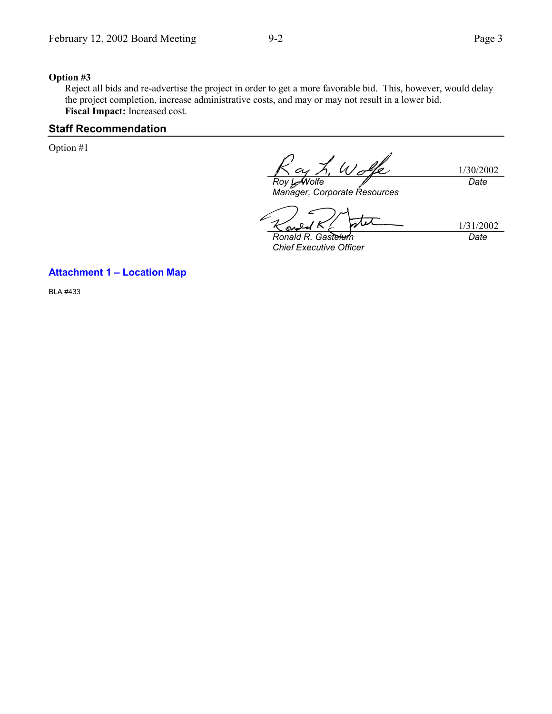#### **Option #3**

Reject all bids and re-advertise the project in order to get a more favorable bid. This, however, would delay the project completion, increase administrative costs, and may or may not result in a lower bid. **Fiscal Impact:** Increased cost.

#### **Staff Recommendation**

Option #1

 $U$ 1/30/2002 *Roy L. Wolfe Date*

*Manager, Corporate Resources*

1/31/2002 *Date*

*Ronald R. Gastelum Chief Executive Officer*

#### **Attachment 1 – Location Map**

BLA #433